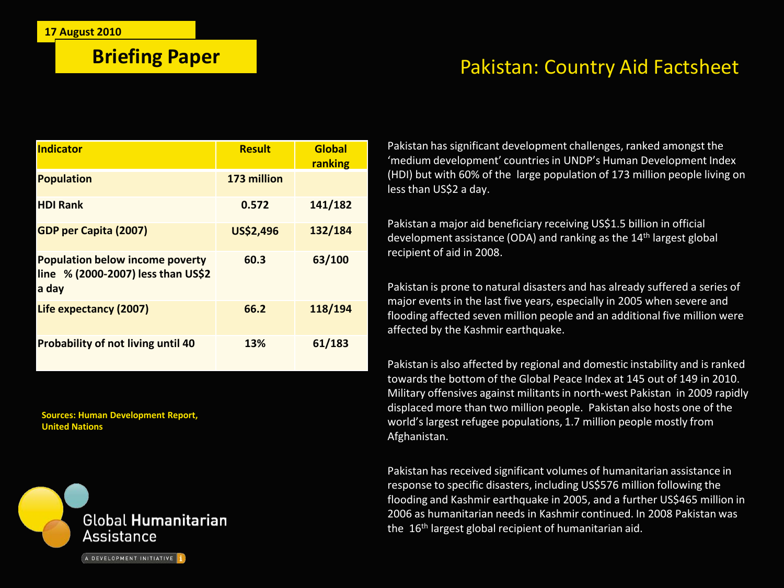## **Briefing Paper** Pakistan: Country Aid Factsheet

| <b>Indicator</b>                                                                      | <b>Result</b>    | <b>Global</b><br>ranking |
|---------------------------------------------------------------------------------------|------------------|--------------------------|
| <b>Population</b>                                                                     | 173 million      |                          |
| <b>HDI Rank</b>                                                                       | 0.572            | 141/182                  |
| <b>GDP per Capita (2007)</b>                                                          | <b>US\$2,496</b> | 132/184                  |
| <b>Population below income poverty</b><br>line % (2000-2007) less than US\$2<br>a day | 60.3             | 63/100                   |
| Life expectancy (2007)                                                                | 66.2             | 118/194                  |
| <b>Probability of not living until 40</b>                                             | 13%              | 61/183                   |

**Sources: Human Development Report, United Nations**



Pakistan has significant development challenges, ranked amongst the 'medium development' countries in UNDP's Human Development Index (HDI) but with 60% of the large population of 173 million people living on less than US\$2 a day.

Pakistan a major aid beneficiary receiving US\$1.5 billion in official development assistance (ODA) and ranking as the  $14<sup>th</sup>$  largest global recipient of aid in 2008.

Pakistan is prone to natural disasters and has already suffered a series of major events in the last five years, especially in 2005 when severe and flooding affected seven million people and an additional five million were affected by the Kashmir earthquake.

Pakistan is also affected by regional and domestic instability and is ranked towards the bottom of the Global Peace Index at 145 out of 149 in 2010. Military offensives against militants in north-west Pakistan in 2009 rapidly displaced more than two million people. Pakistan also hosts one of the world's largest refugee populations, 1.7 million people mostly from Afghanistan.

Pakistan has received significant volumes of humanitarian assistance in response to specific disasters, including US\$576 million following the flooding and Kashmir earthquake in 2005, and a further US\$465 million in 2006 as humanitarian needs in Kashmir continued. In 2008 Pakistan was the  $16<sup>th</sup>$  largest global recipient of humanitarian aid.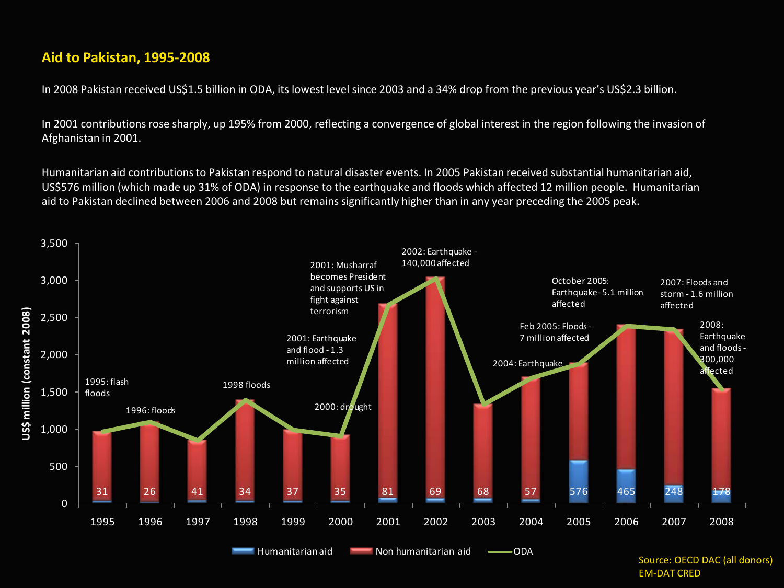#### **Aid to Pakistan, 1995-2008**

In 2008 Pakistan received US\$1.5 billion in ODA, its lowest level since 2003 and a 34% drop from the previous year's US\$2.3 billion.

In 2001 contributions rose sharply, up 195% from 2000, reflecting a convergence of global interest in the region following the invasion of Afghanistan in 2001.

Humanitarian aid contributions to Pakistan respond to natural disaster events. In 2005 Pakistan received substantial humanitarian aid, US\$576 million (which made up 31% of ODA) in response to the earthquake and floods which affected 12 million people. Humanitarian aid to Pakistan declined between 2006 and 2008 but remains significantly higher than in any year preceding the 2005 peak.



Source: OECD DAC (all donors) EM-DAT CRED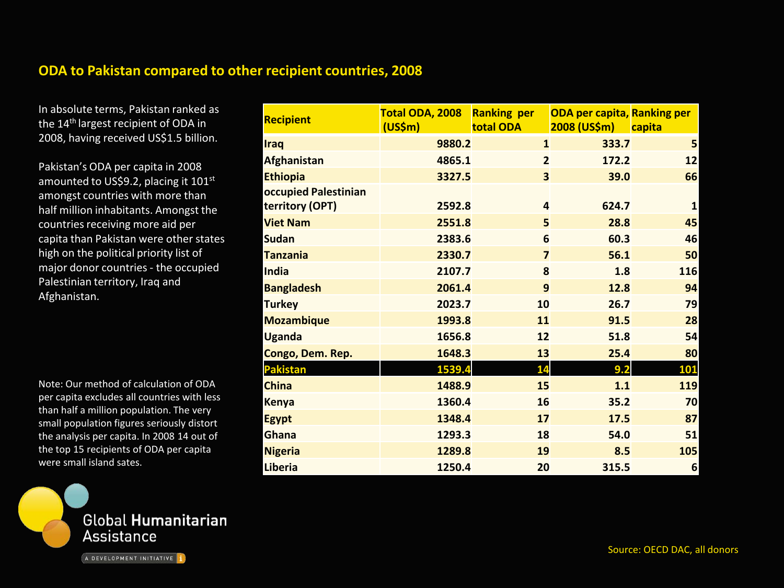#### **ODA to Pakistan compared to other recipient countries, 2008**

In absolute terms, Pakistan ranked as the 14<sup>th</sup> largest recipient of ODA in 2008, having received US\$1.5 billion.

Pakistan's ODA per capita in 2008 amounted to US\$9.2, placing it 101<sup>st</sup> amongst countries with more than half million inhabitants. Amongst the countries receiving more aid per capita than Pakistan were other states high on the political priority list of major donor countries - the occupied Palestinian territory, Iraq and Afghanistan.

Note: Our method of calculation of ODA per capita excludes all countries with less than half a million population. The very small population figures seriously distort the analysis per capita. In 2008 14 out of the top 15 recipients of ODA per capita were small island sates.



| <b>Recipient</b>                        | Total ODA, 2008<br>(US\$m) | <b>Ranking per</b><br>total ODA | <b>ODA per capita, Ranking per</b><br>2008 (US\$m) capita |                 |
|-----------------------------------------|----------------------------|---------------------------------|-----------------------------------------------------------|-----------------|
| <b>Iraq</b>                             | 9880.2                     | $\mathbf{1}$                    | 333.7                                                     | 5               |
| <b>Afghanistan</b>                      | 4865.1                     | $\overline{2}$                  | 172.2                                                     | 12              |
| <b>Ethiopia</b>                         | 3327.5                     | $\overline{\mathbf{3}}$         | 39.0                                                      | 66              |
| occupied Palestinian<br>territory (OPT) | 2592.8                     | $\overline{a}$                  | 624.7                                                     | 1               |
| <b>Viet Nam</b>                         | 2551.8                     | 5                               | 28.8                                                      | 45              |
| <b>Sudan</b>                            | 2383.6                     | 6                               | 60.3                                                      | 46              |
| <b>Tanzania</b>                         | 2330.7                     | $\overline{\mathbf{z}}$         | 56.1                                                      | 50              |
| India                                   | 2107.7                     | 8                               | 1.8                                                       | 116             |
| <b>Bangladesh</b>                       | 2061.4                     | 9                               | 12.8                                                      | 94              |
| <b>Turkey</b>                           | 2023.7                     | 10                              | 26.7                                                      | 79              |
| <b>Mozambique</b>                       | 1993.8                     | 11                              | 91.5                                                      | 28              |
| <b>Uganda</b>                           | 1656.8                     | 12                              | 51.8                                                      | 54              |
| Congo, Dem. Rep.                        | 1648.3                     | 13                              | 25.4                                                      | 80              |
| <b>Pakistan</b>                         | 1539.4                     | 14                              | 9.2                                                       | 101             |
| <b>China</b>                            | 1488.9                     | 15                              | 1.1                                                       | 119             |
| <b>Kenya</b>                            | 1360.4                     | 16                              | 35.2                                                      | 70              |
| <b>Egypt</b>                            | 1348.4                     | 17                              | 17.5                                                      | 87              |
| Ghana                                   | 1293.3                     | 18                              | 54.0                                                      | 51              |
| <b>Nigeria</b>                          | 1289.8                     | 19                              | 8.5                                                       | 105             |
| <b>Liberia</b>                          | 1250.4                     | 20                              | 315.5                                                     | $6\phantom{1}6$ |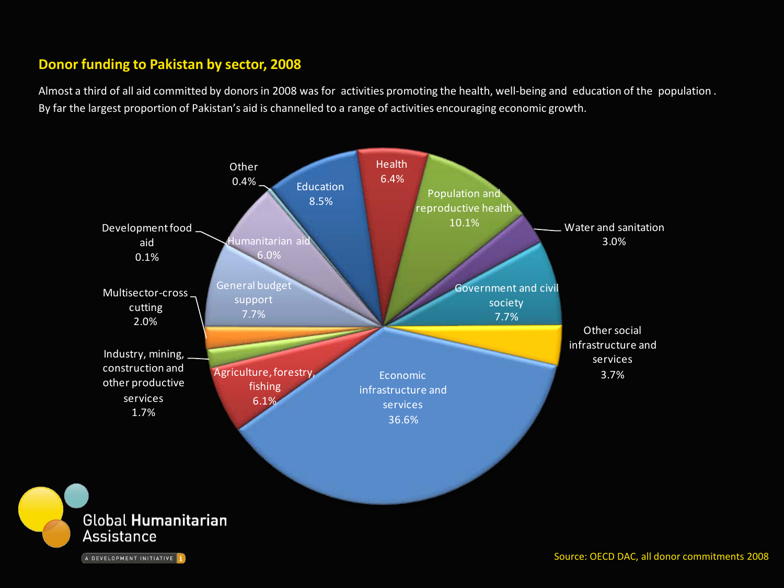#### **Donor funding to Pakistan by sector, 2008**

Almost a third of all aid committed by donors in 2008 was for activities promoting the health, well-being and education of the population . By far the largest proportion of Pakistan's aid is channelled to a range of activities encouraging economic growth.

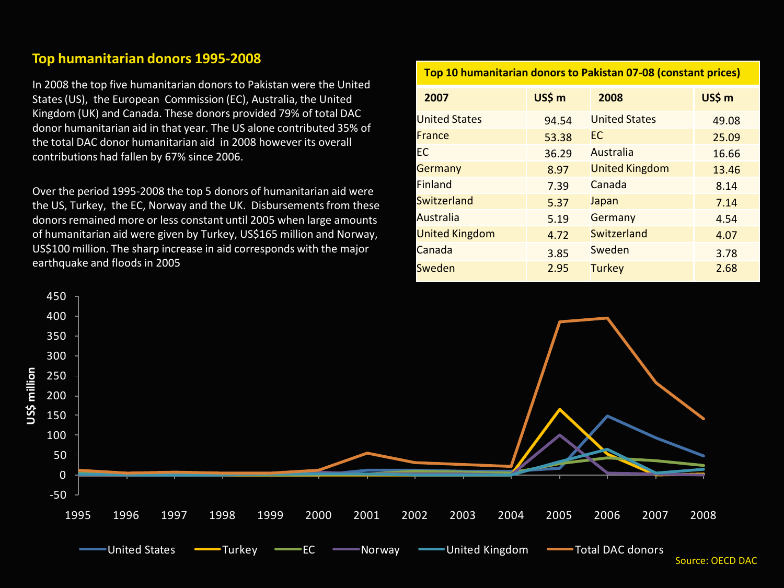#### **Top humanitarian donors 1995-2008**

In 2008 the top five humanitarian donors to Pakistan were the United States (US), the European Commission (EC), Australia, the United Kingdom (UK) and Canada. These donors provided 79% of total DAC donor humanitarian aid in that year. The US alone contributed 35% of the total DAC donor humanitarian aid in 2008 however its overall contributions had fallen by 67% since 2006.

Over the period 1995-2008 the top 5 donors of humanitarian aid were the US, Turkey, the EC, Norway and the UK. Disbursements from these donors remained more or less constant until 2005 when large amounts of humanitarian aid were given by Turkey, US\$165 million and Norway, US\$100 million. The sharp increase in aid corresponds with the major earthquake and floods in 2005

### **Top 10 humanitarian donors to Pakistan 07-08 (constant prices) 2007 US\$ m 2008 US\$ m** United States 194.54 United States 194.08 **France** 25.09 **France** 25.09 EC 36.29 Australia 16.66 Germany 13.46 Finland 1.39 Canada 1.34 S.14 Switzerland 5.37 Japan 5.14 Australia 19 5.19 Germany 1.54 United Kingdom 1 4.72 Switzerland 1.07 Canada 3.85 Sweden 3.78 Sweden 2.95 Turkey 2.68

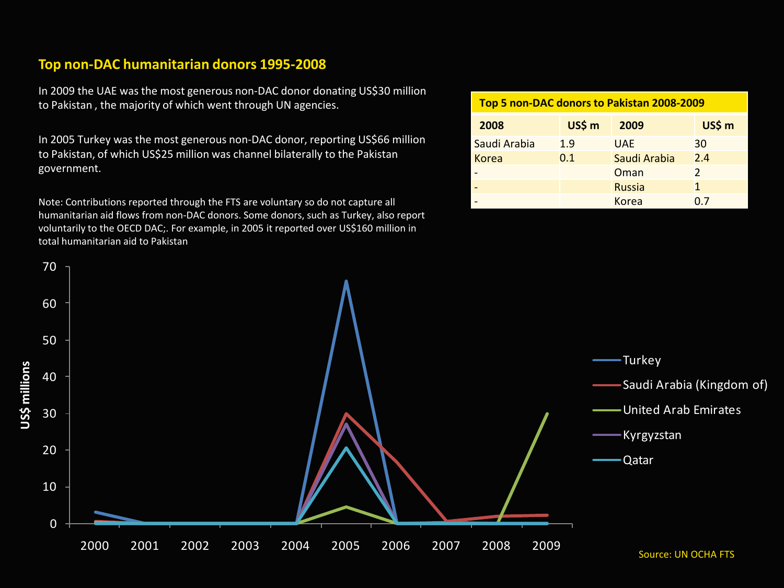#### **Top non-DAC humanitarian donors 1995-2008**

In 2009 the UAE was the most generous non-DAC donor donating US\$30 million to Pakistan , the majority of which went through UN agencies.

In 2005 Turkey was the most generous non-DAC donor, reporting US\$66 million to Pakistan, of which US\$25 million was channel bilaterally to the Pakistan government.

Note: Contributions reported through the FTS are voluntary so do not capture all humanitarian aid flows from non-DAC donors. Some donors, such as Turkey, also report voluntarily to the OECD DAC;. For example, in 2005 it reported over US\$160 million in total humanitarian aid to Pakistan

| Top 5 non-DAC donors to Pakistan 2008-2009 |        |               |               |  |
|--------------------------------------------|--------|---------------|---------------|--|
| 2008                                       | US\$ m | 2009          | US\$ m        |  |
| Saudi Arabia                               | 1.9    | <b>UAE</b>    | 30            |  |
| Korea                                      | 0.1    | Saudi Arabia  | 2.4           |  |
|                                            |        | Oman          | $\mathcal{P}$ |  |
|                                            |        | <b>Russia</b> | 1             |  |
|                                            |        | Korea         |               |  |

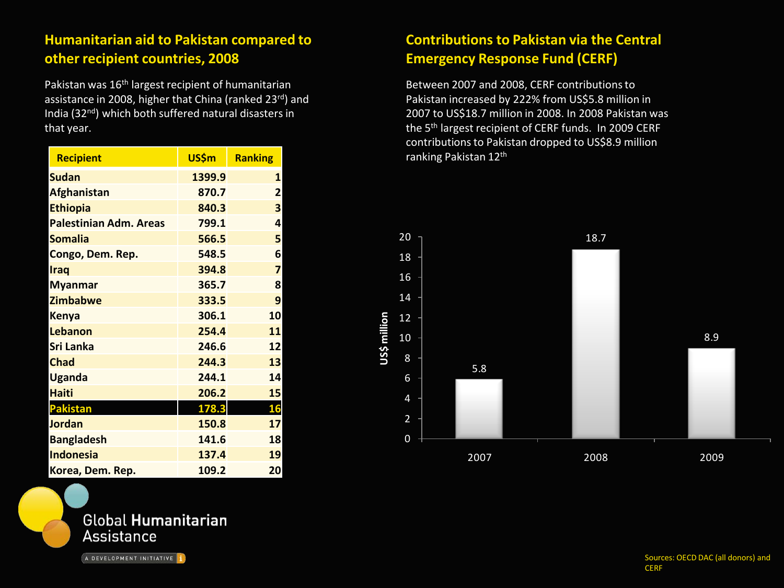#### **Humanitarian aid to Pakistan compared to other recipient countries, 2008**

Pakistan was 16<sup>th</sup> largest recipient of humanitarian assistance in 2008, higher that China (ranked 23rd) and India (32nd) which both suffered natural disasters in that year.

| <b>Recipient</b>              | US\$m  | <b>Ranking</b> |
|-------------------------------|--------|----------------|
| <b>Sudan</b>                  | 1399.9 | 1              |
| <b>Afghanistan</b>            | 870.7  | $\overline{2}$ |
| <b>Ethiopia</b>               | 840.3  | 3              |
| <b>Palestinian Adm. Areas</b> | 799.1  | 4              |
| <b>Somalia</b>                | 566.5  | 5              |
| Congo, Dem. Rep.              | 548.5  | 6              |
| <b>Iraq</b>                   | 394.8  | 7              |
| <b>Myanmar</b>                | 365.7  | 8              |
| <b>Zimbabwe</b>               | 333.5  | 9              |
| <b>Kenya</b>                  | 306.1  | 10             |
| <b>Lebanon</b>                | 254.4  | 11             |
| <b>Sri Lanka</b>              | 246.6  | 12             |
| <b>Chad</b>                   | 244.3  | 13             |
| <b>Uganda</b>                 | 244.1  | 14             |
| <b>Haiti</b>                  | 206.2  | 15             |
| <b>Pakistan</b>               | 178.3  | 16             |
| <b>Jordan</b>                 | 150.8  | 17             |
| <b>Bangladesh</b>             | 141.6  | 18             |
| <b>Indonesia</b>              | 137.4  | 19             |
| Korea, Dem. Rep.              | 109.2  | 20             |



A DEVELOPMENT INITIATIVE 1

#### **Contributions to Pakistan via the Central Emergency Response Fund (CERF)**

Between 2007 and 2008, CERF contributions to Pakistan increased by 222% from US\$5.8 million in 2007 to US\$18.7 million in 2008. In 2008 Pakistan was the 5th largest recipient of CERF funds. In 2009 CERF contributions to Pakistan dropped to US\$8.9 million ranking Pakistan 12th



Sources: OECD DAC (all donors) and **CERF**